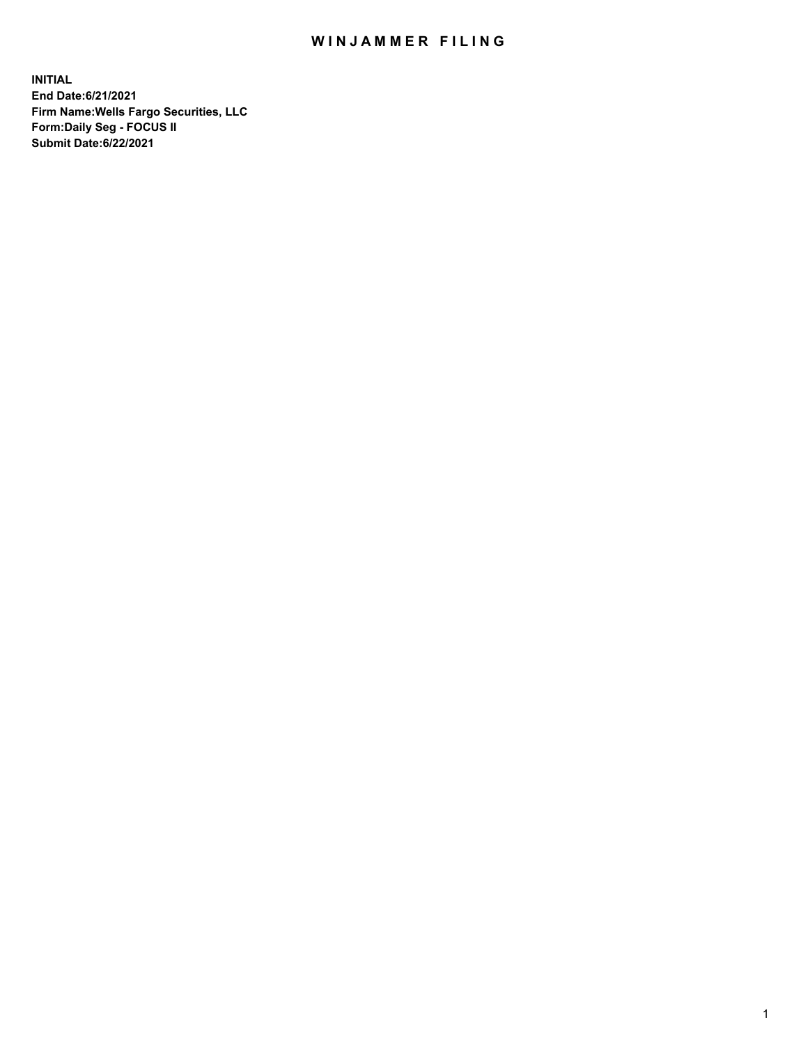## WIN JAMMER FILING

**INITIAL End Date:6/21/2021 Firm Name:Wells Fargo Securities, LLC Form:Daily Seg - FOCUS II Submit Date:6/22/2021**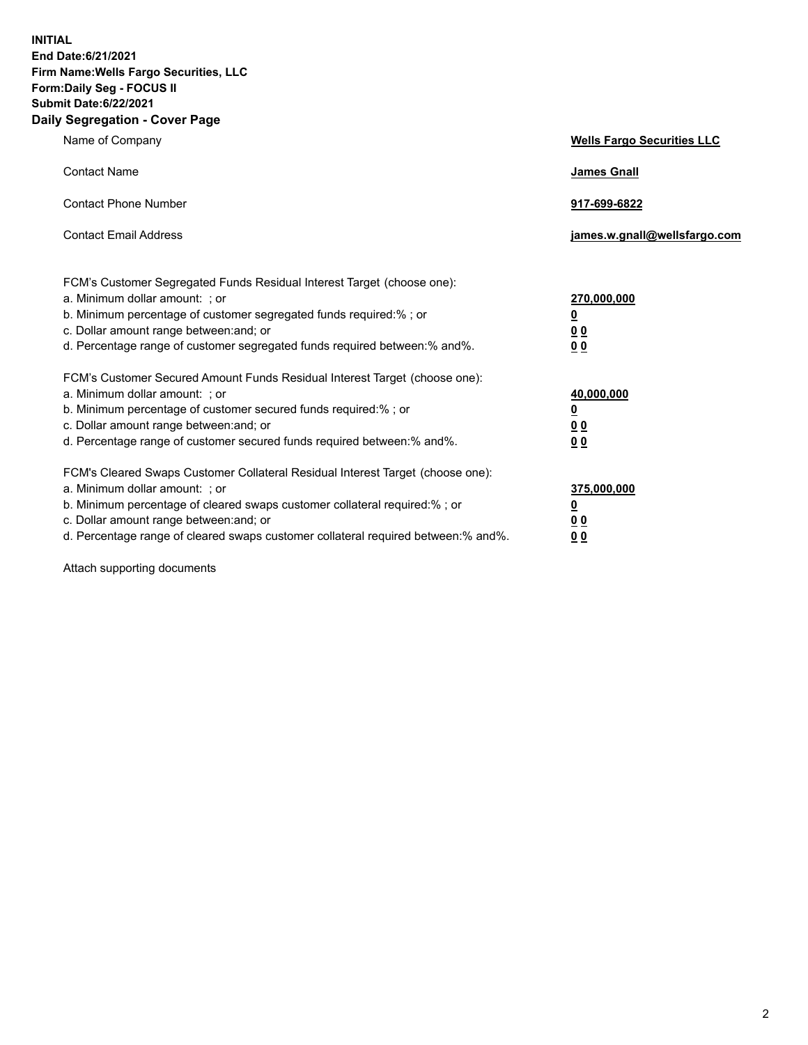**INITIAL End Date:6/21/2021 Firm Name:Wells Fargo Securities, LLC Form:Daily Seg - FOCUS II Submit Date:6/22/2021 Daily Segregation - Cover Page**

| Name of Company                                                                                                                                                                                                                                                                                                                | <b>Wells Fargo Securities LLC</b>                                         |
|--------------------------------------------------------------------------------------------------------------------------------------------------------------------------------------------------------------------------------------------------------------------------------------------------------------------------------|---------------------------------------------------------------------------|
| <b>Contact Name</b>                                                                                                                                                                                                                                                                                                            | <b>James Gnall</b>                                                        |
| <b>Contact Phone Number</b>                                                                                                                                                                                                                                                                                                    | 917-699-6822                                                              |
| <b>Contact Email Address</b>                                                                                                                                                                                                                                                                                                   | james.w.gnall@wellsfargo.com                                              |
| FCM's Customer Segregated Funds Residual Interest Target (choose one):<br>a. Minimum dollar amount: ; or<br>b. Minimum percentage of customer segregated funds required:% ; or<br>c. Dollar amount range between: and; or<br>d. Percentage range of customer segregated funds required between:% and%.                         | 270,000,000<br>$\overline{\mathbf{0}}$<br>0 <sub>0</sub><br>00            |
| FCM's Customer Secured Amount Funds Residual Interest Target (choose one):<br>a. Minimum dollar amount: ; or<br>b. Minimum percentage of customer secured funds required:%; or<br>c. Dollar amount range between: and; or<br>d. Percentage range of customer secured funds required between:% and%.                            | 40,000,000<br>$\overline{\mathbf{0}}$<br>0 <sub>0</sub><br>0 <sub>0</sub> |
| FCM's Cleared Swaps Customer Collateral Residual Interest Target (choose one):<br>a. Minimum dollar amount: ; or<br>b. Minimum percentage of cleared swaps customer collateral required:% ; or<br>c. Dollar amount range between: and; or<br>d. Percentage range of cleared swaps customer collateral required between:% and%. | 375,000,000<br><u>0</u><br>00<br>00                                       |

Attach supporting documents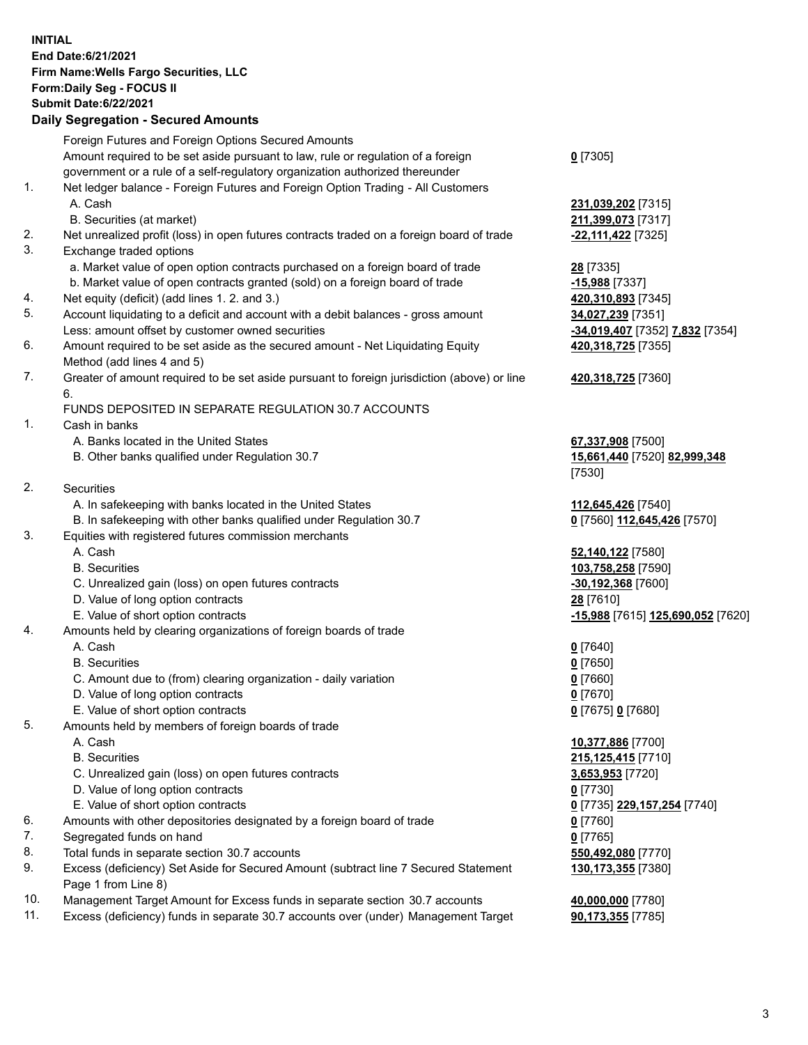**INITIAL End Date:6/21/2021 Firm Name:Wells Fargo Securities, LLC Form:Daily Seg - FOCUS II Submit Date:6/22/2021**

## **Daily Segregation - Secured Amounts**

|    | Foreign Futures and Foreign Options Secured Amounts                                         |                                   |
|----|---------------------------------------------------------------------------------------------|-----------------------------------|
|    | Amount required to be set aside pursuant to law, rule or regulation of a foreign            | $0$ [7305]                        |
|    | government or a rule of a self-regulatory organization authorized thereunder                |                                   |
| 1. | Net ledger balance - Foreign Futures and Foreign Option Trading - All Customers             |                                   |
|    | A. Cash                                                                                     | 231,039,202 [7315]                |
|    | B. Securities (at market)                                                                   | 211,399,073 [7317]                |
| 2. | Net unrealized profit (loss) in open futures contracts traded on a foreign board of trade   | -22,111,422 [7325]                |
| 3. | Exchange traded options                                                                     |                                   |
|    | a. Market value of open option contracts purchased on a foreign board of trade              | 28 [7335]                         |
|    | b. Market value of open contracts granted (sold) on a foreign board of trade                | -15,988 [7337]                    |
| 4. | Net equity (deficit) (add lines 1. 2. and 3.)                                               | 420,310,893 [7345]                |
| 5. | Account liquidating to a deficit and account with a debit balances - gross amount           | 34,027,239 [7351]                 |
|    | Less: amount offset by customer owned securities                                            | -34,019,407 [7352] 7,832 [7354]   |
| 6. | Amount required to be set aside as the secured amount - Net Liquidating Equity              | 420,318,725 [7355]                |
|    | Method (add lines 4 and 5)                                                                  |                                   |
| 7. | Greater of amount required to be set aside pursuant to foreign jurisdiction (above) or line | 420,318,725 [7360]                |
|    | 6.                                                                                          |                                   |
|    | FUNDS DEPOSITED IN SEPARATE REGULATION 30.7 ACCOUNTS                                        |                                   |
| 1. | Cash in banks                                                                               |                                   |
|    | A. Banks located in the United States                                                       | 67,337,908 [7500]                 |
|    | B. Other banks qualified under Regulation 30.7                                              | 15,661,440 [7520] 82,999,348      |
|    |                                                                                             | [7530]                            |
| 2. | <b>Securities</b>                                                                           |                                   |
|    | A. In safekeeping with banks located in the United States                                   | 112,645,426 [7540]                |
|    | B. In safekeeping with other banks qualified under Regulation 30.7                          | 0 [7560] 112,645,426 [7570]       |
| 3. | Equities with registered futures commission merchants                                       |                                   |
|    | A. Cash                                                                                     | 52,140,122 [7580]                 |
|    | <b>B.</b> Securities                                                                        | 103,758,258 [7590]                |
|    | C. Unrealized gain (loss) on open futures contracts                                         | $-30,192,368$ [7600]              |
|    | D. Value of long option contracts                                                           | 28 [7610]                         |
|    | E. Value of short option contracts                                                          | -15,988 [7615] 125,690,052 [7620] |
| 4. | Amounts held by clearing organizations of foreign boards of trade                           |                                   |
|    | A. Cash                                                                                     | $0$ [7640]                        |
|    | <b>B.</b> Securities                                                                        | $0$ [7650]                        |
|    | C. Amount due to (from) clearing organization - daily variation                             | $0$ [7660]                        |
|    | D. Value of long option contracts                                                           | $0$ [7670]                        |
|    | E. Value of short option contracts                                                          | 0 [7675] 0 [7680]                 |
| 5. | Amounts held by members of foreign boards of trade                                          |                                   |
|    | A. Cash                                                                                     | 10,377,886 [7700]                 |
|    | <b>B.</b> Securities                                                                        | 215,125,415 [7710]                |
|    | C. Unrealized gain (loss) on open futures contracts                                         | 3,653,953 [7720]                  |
|    | D. Value of long option contracts                                                           | $0$ [7730]                        |
|    | E. Value of short option contracts                                                          | 0 [7735] 229,157,254 [7740]       |
| 6. | Amounts with other depositories designated by a foreign board of trade                      | $0$ [7760]                        |
| 7. | Segregated funds on hand                                                                    | $0$ [7765]                        |
| 8. | Total funds in separate section 30.7 accounts                                               | 550,492,080 [7770]                |
| 9. | Excess (deficiency) Set Aside for Secured Amount (subtract line 7 Secured Statement         | 130,173,355 [7380]                |
|    | Page 1 from Line 8)                                                                         |                                   |

- 10. Management Target Amount for Excess funds in separate section 30.7 accounts **40,000,000** [7780]
- 11. Excess (deficiency) funds in separate 30.7 accounts over (under) Management Target **90,173,355** [7785]

3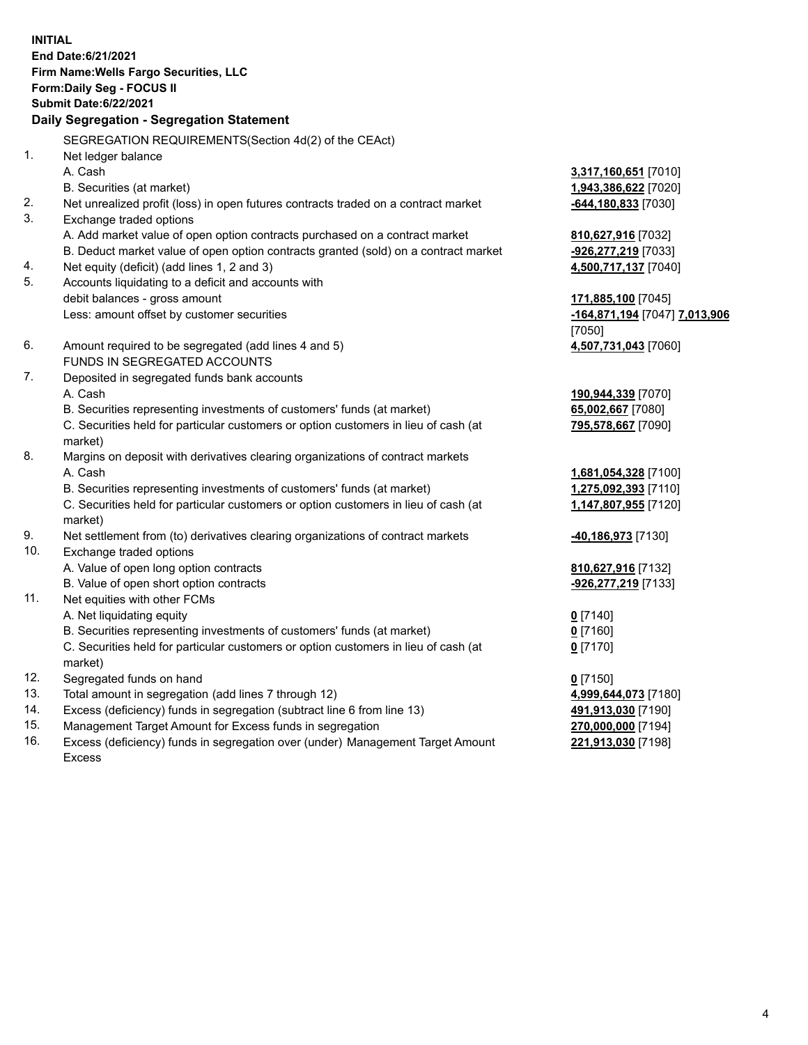**INITIAL End Date:6/21/2021 Firm Name:Wells Fargo Securities, LLC Form:Daily Seg - FOCUS II Submit Date:6/22/2021**

## **Daily Segregation - Segregation Statement**

SEGREGATION REQUIREMENTS(Section 4d(2) of the CEAct)

|     | SEGREGATION REQUIREMENTS(SECTION 40(2) OF THE CEACH                                 |                               |
|-----|-------------------------------------------------------------------------------------|-------------------------------|
| 1.  | Net ledger balance                                                                  |                               |
|     | A. Cash                                                                             | 3,317,160,651 [7010]          |
|     | B. Securities (at market)                                                           | 1,943,386,622 [7020]          |
| 2.  | Net unrealized profit (loss) in open futures contracts traded on a contract market  | $-644, 180, 833$ [7030]       |
| 3.  | Exchange traded options                                                             |                               |
|     | A. Add market value of open option contracts purchased on a contract market         | 810,627,916 [7032]            |
|     | B. Deduct market value of open option contracts granted (sold) on a contract market | -926,277,219 [7033]           |
| 4.  | Net equity (deficit) (add lines 1, 2 and 3)                                         | 4,500,717,137 [7040]          |
| 5.  | Accounts liquidating to a deficit and accounts with                                 |                               |
|     | debit balances - gross amount                                                       | 171,885,100 [7045]            |
|     | Less: amount offset by customer securities                                          | -164,871,194 [7047] 7,013,906 |
|     |                                                                                     | [7050]                        |
| 6.  | Amount required to be segregated (add lines 4 and 5)                                | 4,507,731,043 [7060]          |
|     | FUNDS IN SEGREGATED ACCOUNTS                                                        |                               |
| 7.  | Deposited in segregated funds bank accounts                                         |                               |
|     | A. Cash                                                                             | 190,944,339 [7070]            |
|     | B. Securities representing investments of customers' funds (at market)              | 65,002,667 [7080]             |
|     | C. Securities held for particular customers or option customers in lieu of cash (at | 795,578,667 [7090]            |
|     | market)                                                                             |                               |
| 8.  | Margins on deposit with derivatives clearing organizations of contract markets      |                               |
|     | A. Cash                                                                             | 1,681,054,328 [7100]          |
|     | B. Securities representing investments of customers' funds (at market)              | 1,275,092,393 [7110]          |
|     | C. Securities held for particular customers or option customers in lieu of cash (at | 1,147,807,955 [7120]          |
|     | market)                                                                             |                               |
| 9.  | Net settlement from (to) derivatives clearing organizations of contract markets     | 40,186,973 [7130]             |
| 10. | Exchange traded options                                                             |                               |
|     | A. Value of open long option contracts                                              | 810,627,916 [7132]            |
|     | B. Value of open short option contracts                                             | -926,277,219 [7133]           |
| 11. | Net equities with other FCMs                                                        |                               |
|     | A. Net liquidating equity                                                           | $0$ [7140]                    |
|     | B. Securities representing investments of customers' funds (at market)              | $0$ [7160]                    |
|     | C. Securities held for particular customers or option customers in lieu of cash (at | $0$ [7170]                    |
|     | market)                                                                             |                               |
| 12. | Segregated funds on hand                                                            | $0$ [7150]                    |
| 13. | Total amount in segregation (add lines 7 through 12)                                | 4,999,644,073 [7180]          |
| 14. | Excess (deficiency) funds in segregation (subtract line 6 from line 13)             | 491,913,030 [7190]            |
| 15. | Management Target Amount for Excess funds in segregation                            | 270,000,000 [7194]            |
| 16. | Excess (deficiency) funds in segregation over (under) Management Target Amount      | 221,913,030 [7198]            |
|     | Excess                                                                              |                               |